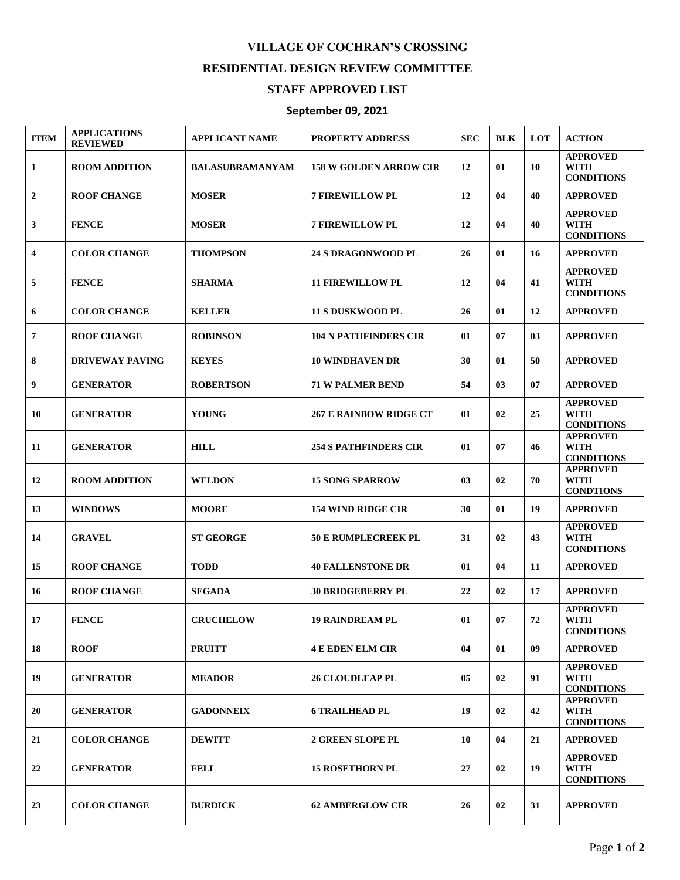## **VILLAGE OF COCHRAN'S CROSSING RESIDENTIAL DESIGN REVIEW COMMITTEE**

## **STAFF APPROVED LIST**

## **September 09, 2021**

| <b>ITEM</b>  | <b>APPLICATIONS</b><br><b>REVIEWED</b> | <b>APPLICANT NAME</b>  | <b>PROPERTY ADDRESS</b>       | <b>SEC</b> | <b>BLK</b> | LOT | <b>ACTION</b>                                       |
|--------------|----------------------------------------|------------------------|-------------------------------|------------|------------|-----|-----------------------------------------------------|
| 1            | <b>ROOM ADDITION</b>                   | <b>BALASUBRAMANYAM</b> | <b>158 W GOLDEN ARROW CIR</b> | 12         | 01         | 10  | <b>APPROVED</b><br><b>WITH</b><br><b>CONDITIONS</b> |
| $\mathbf{2}$ | <b>ROOF CHANGE</b>                     | <b>MOSER</b>           | <b>7 FIREWILLOW PL</b>        | 12         | 04         | 40  | <b>APPROVED</b>                                     |
| 3            | <b>FENCE</b>                           | <b>MOSER</b>           | <b>7 FIREWILLOW PL</b>        | 12         | 04         | 40  | <b>APPROVED</b><br><b>WITH</b><br><b>CONDITIONS</b> |
| 4            | <b>COLOR CHANGE</b>                    | <b>THOMPSON</b>        | <b>24 S DRAGONWOOD PL</b>     | 26         | 01         | 16  | <b>APPROVED</b>                                     |
| 5            | <b>FENCE</b>                           | <b>SHARMA</b>          | <b>11 FIREWILLOW PL</b>       | 12         | 04         | 41  | <b>APPROVED</b><br><b>WITH</b><br><b>CONDITIONS</b> |
| 6            | <b>COLOR CHANGE</b>                    | <b>KELLER</b>          | <b>11 S DUSKWOOD PL</b>       | 26         | 01         | 12  | <b>APPROVED</b>                                     |
| 7            | <b>ROOF CHANGE</b>                     | <b>ROBINSON</b>        | <b>104 N PATHFINDERS CIR</b>  | 01         | 07         | 03  | <b>APPROVED</b>                                     |
| 8            | <b>DRIVEWAY PAVING</b>                 | <b>KEYES</b>           | <b>10 WINDHAVEN DR</b>        | 30         | 01         | 50  | <b>APPROVED</b>                                     |
| 9            | <b>GENERATOR</b>                       | <b>ROBERTSON</b>       | <b>71 W PALMER BEND</b>       | 54         | 03         | 07  | <b>APPROVED</b>                                     |
| 10           | <b>GENERATOR</b>                       | <b>YOUNG</b>           | <b>267 E RAINBOW RIDGE CT</b> | 01         | 02         | 25  | <b>APPROVED</b><br><b>WITH</b><br><b>CONDITIONS</b> |
| 11           | <b>GENERATOR</b>                       | <b>HILL</b>            | <b>254 S PATHFINDERS CIR</b>  | 01         | 07         | 46  | <b>APPROVED</b><br><b>WITH</b><br><b>CONDITIONS</b> |
| 12           | <b>ROOM ADDITION</b>                   | <b>WELDON</b>          | <b>15 SONG SPARROW</b>        | 03         | 02         | 70  | <b>APPROVED</b><br><b>WITH</b><br><b>CONDTIONS</b>  |
| 13           | <b>WINDOWS</b>                         | <b>MOORE</b>           | <b>154 WIND RIDGE CIR</b>     | 30         | 01         | 19  | <b>APPROVED</b>                                     |
| 14           | <b>GRAVEL</b>                          | <b>ST GEORGE</b>       | <b>50 E RUMPLECREEK PL</b>    | 31         | 02         | 43  | <b>APPROVED</b><br><b>WITH</b><br><b>CONDITIONS</b> |
| 15           | <b>ROOF CHANGE</b>                     | <b>TODD</b>            | <b>40 FALLENSTONE DR</b>      | 01         | 04         | 11  | <b>APPROVED</b>                                     |
| 16           | <b>ROOF CHANGE</b>                     | <b>SEGADA</b>          | <b>30 BRIDGEBERRY PL</b>      | 22         | 02         | 17  | <b>APPROVED</b>                                     |
| 17           | <b>FENCE</b>                           | <b>CRUCHELOW</b>       | <b>19 RAINDREAM PL</b>        | 01         | 07         | 72  | <b>APPROVED</b><br><b>WITH</b><br><b>CONDITIONS</b> |
| 18           | <b>ROOF</b>                            | <b>PRUITT</b>          | <b>4 E EDEN ELM CIR</b>       | 04         | 01         | 09  | <b>APPROVED</b>                                     |
| 19           | <b>GENERATOR</b>                       | <b>MEADOR</b>          | <b>26 CLOUDLEAP PL</b>        | 05         | 02         | 91  | <b>APPROVED</b><br><b>WITH</b><br><b>CONDITIONS</b> |
| 20           | <b>GENERATOR</b>                       | <b>GADONNEIX</b>       | <b>6 TRAILHEAD PL</b>         | 19         | 02         | 42  | <b>APPROVED</b><br><b>WITH</b><br><b>CONDITIONS</b> |
| 21           | <b>COLOR CHANGE</b>                    | <b>DEWITT</b>          | <b>2 GREEN SLOPE PL</b>       | 10         | 04         | 21  | <b>APPROVED</b>                                     |
| 22           | <b>GENERATOR</b>                       | <b>FELL</b>            | <b>15 ROSETHORN PL</b>        | 27         | 02         | 19  | <b>APPROVED</b><br><b>WITH</b><br><b>CONDITIONS</b> |
| 23           | <b>COLOR CHANGE</b>                    | <b>BURDICK</b>         | <b>62 AMBERGLOW CIR</b>       | 26         | 02         | 31  | <b>APPROVED</b>                                     |